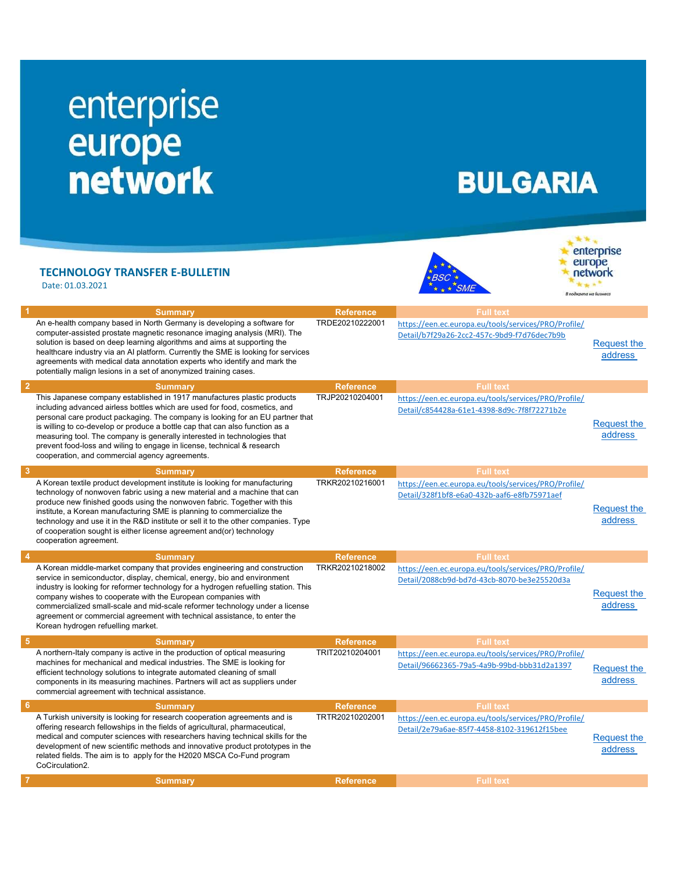## enterprise europe<br>network

## **BULGARIA**

**SME** 

## TECHNOLOGY TRANSFER E-BULLETIN

Date: 01.03.2021



|                | <b>Summary</b>                                                                                                                                                                                                                                                                                                                                                                                                                                                                                                                   | <b>Reference</b> | <b>Full text</b>                                                                                    |                               |
|----------------|----------------------------------------------------------------------------------------------------------------------------------------------------------------------------------------------------------------------------------------------------------------------------------------------------------------------------------------------------------------------------------------------------------------------------------------------------------------------------------------------------------------------------------|------------------|-----------------------------------------------------------------------------------------------------|-------------------------------|
|                | An e-health company based in North Germany is developing a software for<br>computer-assisted prostate magnetic resonance imaging analysis (MRI). The<br>solution is based on deep learning algorithms and aims at supporting the<br>healthcare industry via an AI platform. Currently the SME is looking for services<br>agreements with medical data annotation experts who identify and mark the<br>potentially malign lesions in a set of anonymized training cases.                                                          | TRDE20210222001  | https://een.ec.europa.eu/tools/services/PRO/Profile/<br>Detail/b7f29a26-2cc2-457c-9bd9-f7d76dec7b9b | <b>Request the</b><br>address |
| $\overline{2}$ | <b>Summary</b>                                                                                                                                                                                                                                                                                                                                                                                                                                                                                                                   | <b>Reference</b> | <b>Full text</b>                                                                                    |                               |
|                | This Japanese company established in 1917 manufactures plastic products<br>including advanced airless bottles which are used for food, cosmetics, and<br>personal care product packaging. The company is looking for an EU partner that<br>is willing to co-develop or produce a bottle cap that can also function as a<br>measuring tool. The company is generally interested in technologies that<br>prevent food-loss and wiling to engage in license, technical & research<br>cooperation, and commercial agency agreements. | TRJP20210204001  | https://een.ec.europa.eu/tools/services/PRO/Profile/<br>Detail/c854428a-61e1-4398-8d9c-7f8f72271b2e | Request the<br>address        |
| 3              | <b>Summary</b>                                                                                                                                                                                                                                                                                                                                                                                                                                                                                                                   | <b>Reference</b> | <b>Full text</b>                                                                                    |                               |
|                | A Korean textile product development institute is looking for manufacturing<br>technology of nonwoven fabric using a new material and a machine that can<br>produce new finished goods using the nonwoven fabric. Together with this<br>institute, a Korean manufacturing SME is planning to commercialize the<br>technology and use it in the R&D institute or sell it to the other companies. Type<br>of cooperation sought is either license agreement and(or) technology<br>cooperation agreement.                           | TRKR20210216001  | https://een.ec.europa.eu/tools/services/PRO/Profile/<br>Detail/328f1bf8-e6a0-432b-aaf6-e8fb75971aef | <b>Request the</b><br>address |
|                | <b>Summary</b>                                                                                                                                                                                                                                                                                                                                                                                                                                                                                                                   | <b>Reference</b> | <b>Full text</b>                                                                                    |                               |
|                | A Korean middle-market company that provides engineering and construction<br>service in semiconductor, display, chemical, energy, bio and environment<br>industry is looking for reformer technology for a hydrogen refuelling station. This<br>company wishes to cooperate with the European companies with<br>commercialized small-scale and mid-scale reformer technology under a license                                                                                                                                     | TRKR20210218002  | https://een.ec.europa.eu/tools/services/PRO/Profile/<br>Detail/2088cb9d-bd7d-43cb-8070-be3e25520d3a | Request the                   |
|                | agreement or commercial agreement with technical assistance, to enter the<br>Korean hydrogen refuelling market.                                                                                                                                                                                                                                                                                                                                                                                                                  |                  |                                                                                                     | address                       |
| -5             | <b>Summary</b>                                                                                                                                                                                                                                                                                                                                                                                                                                                                                                                   | <b>Reference</b> | <b>Full text</b>                                                                                    |                               |
|                | A northern-Italy company is active in the production of optical measuring<br>machines for mechanical and medical industries. The SME is looking for<br>efficient technology solutions to integrate automated cleaning of small<br>components in its measuring machines. Partners will act as suppliers under<br>commercial agreement with technical assistance.                                                                                                                                                                  | TRIT20210204001  | https://een.ec.europa.eu/tools/services/PRO/Profile/<br>Detail/96662365-79a5-4a9b-99bd-bbb31d2a1397 | <b>Request the</b><br>address |
| -6             | <b>Summary</b>                                                                                                                                                                                                                                                                                                                                                                                                                                                                                                                   | <b>Reference</b> | <b>Full text</b>                                                                                    |                               |
|                | A Turkish university is looking for research cooperation agreements and is<br>offering research fellowships in the fields of agricultural, pharmaceutical,<br>medical and computer sciences with researchers having technical skills for the<br>development of new scientific methods and innovative product prototypes in the<br>related fields. The aim is to apply for the H2020 MSCA Co-Fund program<br>CoCirculation2.                                                                                                      | TRTR20210202001  | https://een.ec.europa.eu/tools/services/PRO/Profile/<br>Detail/2e79a6ae-85f7-4458-8102-319612f15bee | Request the<br>address        |
|                | <b>Summary</b>                                                                                                                                                                                                                                                                                                                                                                                                                                                                                                                   | <b>Reference</b> | <b>Full text</b>                                                                                    |                               |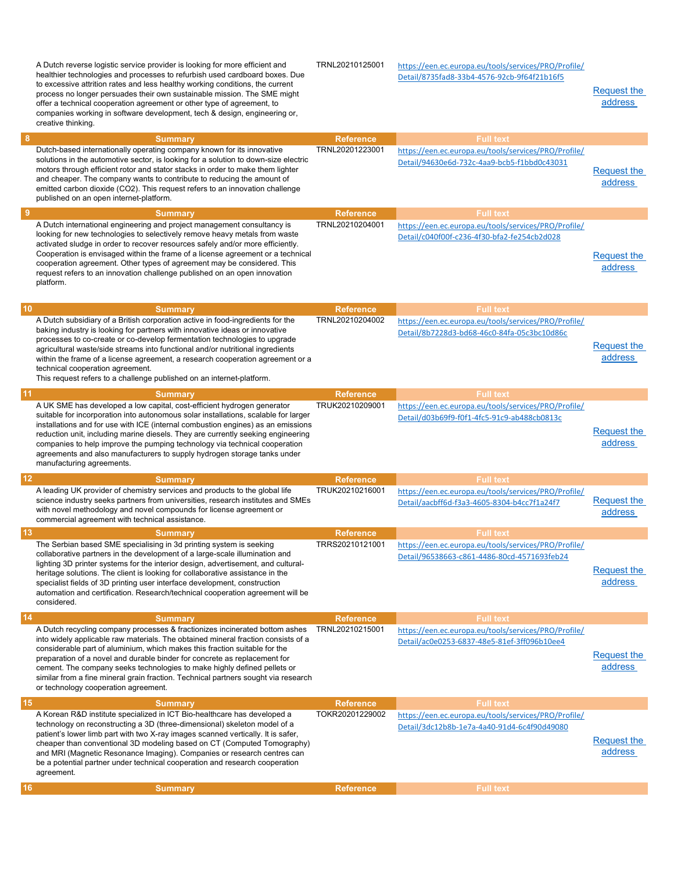|                | A Dutch reverse logistic service provider is looking for more efficient and<br>healthier technologies and processes to refurbish used cardboard boxes. Due<br>to excessive attrition rates and less healthy working conditions, the current<br>process no longer persuades their own sustainable mission. The SME might<br>offer a technical cooperation agreement or other type of agreement, to<br>companies working in software development, tech & design, engineering or,<br>creative thinking.                                  | TRNL20210125001  | https://een.ec.europa.eu/tools/services/PRO/Profile/<br>Detail/8735fad8-33b4-4576-92cb-9f64f21b16f5 | Request the<br>address        |
|----------------|---------------------------------------------------------------------------------------------------------------------------------------------------------------------------------------------------------------------------------------------------------------------------------------------------------------------------------------------------------------------------------------------------------------------------------------------------------------------------------------------------------------------------------------|------------------|-----------------------------------------------------------------------------------------------------|-------------------------------|
| 8              | <b>Summary</b>                                                                                                                                                                                                                                                                                                                                                                                                                                                                                                                        | <b>Reference</b> | <b>Full text</b>                                                                                    |                               |
|                | Dutch-based internationally operating company known for its innovative<br>solutions in the automotive sector, is looking for a solution to down-size electric<br>motors through efficient rotor and stator stacks in order to make them lighter<br>and cheaper. The company wants to contribute to reducing the amount of<br>emitted carbon dioxide (CO2). This request refers to an innovation challenge<br>published on an open internet-platform.                                                                                  | TRNL20201223001  | https://een.ec.europa.eu/tools/services/PRO/Profile/<br>Detail/94630e6d-732c-4aa9-bcb5-f1bbd0c43031 | <b>Request the</b><br>address |
| $\overline{9}$ | <b>Summary</b>                                                                                                                                                                                                                                                                                                                                                                                                                                                                                                                        | <b>Reference</b> | <b>Full text</b>                                                                                    |                               |
|                | A Dutch international engineering and project management consultancy is<br>looking for new technologies to selectively remove heavy metals from waste<br>activated sludge in order to recover resources safely and/or more efficiently.<br>Cooperation is envisaged within the frame of a license agreement or a technical<br>cooperation agreement. Other types of agreement may be considered. This<br>request refers to an innovation challenge published on an open innovation<br>platform.                                       | TRNL20210204001  | https://een.ec.europa.eu/tools/services/PRO/Profile/<br>Detail/c040f00f-c236-4f30-bfa2-fe254cb2d028 | <b>Request the</b><br>address |
| 10             | <b>Summary</b>                                                                                                                                                                                                                                                                                                                                                                                                                                                                                                                        | <b>Reference</b> | <b>Full text</b>                                                                                    |                               |
|                | A Dutch subsidiary of a British corporation active in food-ingredients for the<br>baking industry is looking for partners with innovative ideas or innovative<br>processes to co-create or co-develop fermentation technologies to upgrade<br>agricultural waste/side streams into functional and/or nutritional ingredients<br>within the frame of a license agreement, a research cooperation agreement or a<br>technical cooperation agreement.<br>This request refers to a challenge published on an internet-platform.           | TRNL20210204002  | https://een.ec.europa.eu/tools/services/PRO/Profile/<br>Detail/8b7228d3-bd68-46c0-84fa-05c3bc10d86c | <b>Request the</b><br>address |
| 11             | <b>Summary</b>                                                                                                                                                                                                                                                                                                                                                                                                                                                                                                                        | <b>Reference</b> | <b>Full text</b>                                                                                    |                               |
|                | A UK SME has developed a low capital, cost-efficient hydrogen generator<br>suitable for incorporation into autonomous solar installations, scalable for larger<br>installations and for use with ICE (internal combustion engines) as an emissions<br>reduction unit, including marine diesels. They are currently seeking engineering<br>companies to help improve the pumping technology via technical cooperation<br>agreements and also manufacturers to supply hydrogen storage tanks under<br>manufacturing agreements.         | TRUK20210209001  | https://een.ec.europa.eu/tools/services/PRO/Profile/<br>Detail/d03b69f9-f0f1-4fc5-91c9-ab488cb0813c | Request the<br>address        |
| 12             | <b>Summary</b>                                                                                                                                                                                                                                                                                                                                                                                                                                                                                                                        | <b>Reference</b> | <b>Full text</b>                                                                                    |                               |
|                | A leading UK provider of chemistry services and products to the global life<br>science industry seeks partners from universities, research institutes and SMEs<br>with novel methodology and novel compounds for license agreement or<br>commercial agreement with technical assistance.                                                                                                                                                                                                                                              | TRUK20210216001  | https://een.ec.europa.eu/tools/services/PRO/Profile/<br>Detail/aacbff6d-f3a3-4605-8304-b4cc7f1a24f7 | <b>Request the</b><br>address |
| 13             | <b>Summary</b>                                                                                                                                                                                                                                                                                                                                                                                                                                                                                                                        | <b>Reference</b> | <b>Full text</b>                                                                                    |                               |
|                | The Serbian based SME specialising in 3d printing system is seeking<br>collaborative partners in the development of a large-scale illumination and<br>lighting 3D printer systems for the interior design, advertisement, and cultural-<br>heritage solutions. The client is looking for collaborative assistance in the<br>specialist fields of 3D printing user interface development, construction<br>automation and certification. Research/technical cooperation agreement will be<br>considered.                                | TRRS20210121001  | https://een.ec.europa.eu/tools/services/PRO/Profile/<br>Detail/96538663-c861-4486-80cd-4571693feb24 | Request the<br>address        |
| 14             | <b>Summary</b>                                                                                                                                                                                                                                                                                                                                                                                                                                                                                                                        | <b>Reference</b> | <b>Full text</b>                                                                                    |                               |
|                | A Dutch recycling company processes & fractionizes incinerated bottom ashes<br>into widely applicable raw materials. The obtained mineral fraction consists of a<br>considerable part of aluminium, which makes this fraction suitable for the<br>preparation of a novel and durable binder for concrete as replacement for<br>cement. The company seeks technologies to make highly defined pellets or<br>similar from a fine mineral grain fraction. Technical partners sought via research<br>or technology cooperation agreement. | TRNL20210215001  | https://een.ec.europa.eu/tools/services/PRO/Profile/<br>Detail/ac0e0253-6837-48e5-81ef-3ff096b10ee4 | <b>Request the</b><br>address |
| 15             | <b>Summary</b>                                                                                                                                                                                                                                                                                                                                                                                                                                                                                                                        | <b>Reference</b> | <b>Full text</b>                                                                                    |                               |
|                | A Korean R&D institute specialized in ICT Bio-healthcare has developed a<br>technology on reconstructing a 3D (three-dimensional) skeleton model of a<br>patient's lower limb part with two X-ray images scanned vertically. It is safer,<br>cheaper than conventional 3D modeling based on CT (Computed Tomography)<br>and MRI (Magnetic Resonance Imaging). Companies or research centres can<br>be a potential partner under technical cooperation and research cooperation<br>agreement.                                          | TOKR20201229002  | https://een.ec.europa.eu/tools/services/PRO/Profile/<br>Detail/3dc12b8b-1e7a-4a40-91d4-6c4f90d49080 | Request the<br>address        |
| 16             | <b>Summary</b>                                                                                                                                                                                                                                                                                                                                                                                                                                                                                                                        | <b>Reference</b> | <b>Full text</b>                                                                                    |                               |
|                |                                                                                                                                                                                                                                                                                                                                                                                                                                                                                                                                       |                  |                                                                                                     |                               |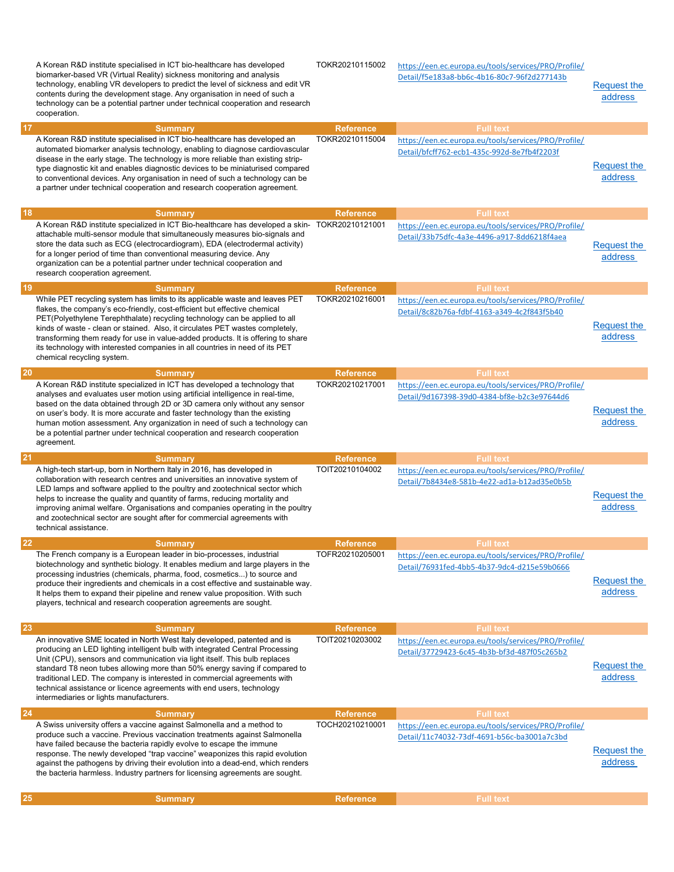|    | A Korean R&D institute specialised in ICT bio-healthcare has developed<br>biomarker-based VR (Virtual Reality) sickness monitoring and analysis<br>technology, enabling VR developers to predict the level of sickness and edit VR<br>contents during the development stage. Any organisation in need of such a<br>technology can be a potential partner under technical cooperation and research<br>cooperation.                                                                                                          | TOKR20210115002                     | https://een.ec.europa.eu/tools/services/PRO/Profile/<br>Detail/f5e183a8-bb6c-4b16-80c7-96f2d277143b                     | <b>Request the</b><br>address |
|----|----------------------------------------------------------------------------------------------------------------------------------------------------------------------------------------------------------------------------------------------------------------------------------------------------------------------------------------------------------------------------------------------------------------------------------------------------------------------------------------------------------------------------|-------------------------------------|-------------------------------------------------------------------------------------------------------------------------|-------------------------------|
| 17 | <b>Summary</b><br>A Korean R&D institute specialised in ICT bio-healthcare has developed an<br>automated biomarker analysis technology, enabling to diagnose cardiovascular<br>disease in the early stage. The technology is more reliable than existing strip-<br>type diagnostic kit and enables diagnostic devices to be miniaturised compared<br>to conventional devices. Any organisation in need of such a technology can be<br>a partner under technical cooperation and research cooperation agreement.            | <b>Reference</b><br>TOKR20210115004 | <b>Full text</b><br>https://een.ec.europa.eu/tools/services/PRO/Profile/<br>Detail/bfcff762-ecb1-435c-992d-8e7fb4f2203f | <b>Request the</b><br>address |
| 18 | <b>Summary</b>                                                                                                                                                                                                                                                                                                                                                                                                                                                                                                             | <b>Reference</b>                    | <b>Full text</b>                                                                                                        |                               |
|    | A Korean R&D institute specialized in ICT Bio-healthcare has developed a skin-<br>attachable multi-sensor module that simultaneously measures bio-signals and<br>store the data such as ECG (electrocardiogram), EDA (electrodermal activity)<br>for a longer period of time than conventional measuring device. Any<br>organization can be a potential partner under technical cooperation and<br>research cooperation agreement.                                                                                         | TOKR20210121001                     | https://een.ec.europa.eu/tools/services/PRO/Profile/<br>Detail/33b75dfc-4a3e-4496-a917-8dd6218f4aea                     | <b>Request the</b><br>address |
| 19 | <b>Summary</b>                                                                                                                                                                                                                                                                                                                                                                                                                                                                                                             | <b>Reference</b>                    | <b>Full text</b>                                                                                                        |                               |
|    | While PET recycling system has limits to its applicable waste and leaves PET<br>flakes, the company's eco-friendly, cost-efficient but effective chemical<br>PET(Polyethylene Terephthalate) recycling technology can be applied to all<br>kinds of waste - clean or stained. Also, it circulates PET wastes completely,<br>transforming them ready for use in value-added products. It is offering to share<br>its technology with interested companies in all countries in need of its PET<br>chemical recycling system. | TOKR20210216001                     | https://een.ec.europa.eu/tools/services/PRO/Profile/<br>Detail/8c82b76a-fdbf-4163-a349-4c2f843f5b40                     | <b>Request the</b><br>address |
| 20 | <b>Summary</b>                                                                                                                                                                                                                                                                                                                                                                                                                                                                                                             | <b>Reference</b>                    | <b>Full text</b>                                                                                                        |                               |
|    | A Korean R&D institute specialized in ICT has developed a technology that<br>analyses and evaluates user motion using artificial intelligence in real-time,<br>based on the data obtained through 2D or 3D camera only without any sensor<br>on user's body. It is more accurate and faster technology than the existing<br>human motion assessment. Any organization in need of such a technology can<br>be a potential partner under technical cooperation and research cooperation                                      | TOKR20210217001                     | https://een.ec.europa.eu/tools/services/PRO/Profile/<br>Detail/9d167398-39d0-4384-bf8e-b2c3e97644d6                     | <b>Request the</b><br>address |
|    | agreement.                                                                                                                                                                                                                                                                                                                                                                                                                                                                                                                 |                                     |                                                                                                                         |                               |
| 21 | <b>Summary</b>                                                                                                                                                                                                                                                                                                                                                                                                                                                                                                             | <b>Reference</b>                    | <b>Full text</b>                                                                                                        |                               |
|    | A high-tech start-up, born in Northern Italy in 2016, has developed in<br>collaboration with research centres and universities an innovative system of<br>LED lamps and software applied to the poultry and zootechnical sector which<br>helps to increase the quality and quantity of farms, reducing mortality and<br>improving animal welfare. Organisations and companies operating in the poultry<br>and zootechnical sector are sought after for commercial agreements with<br>technical assistance.                 | TOIT20210104002                     | https://een.ec.europa.eu/tools/services/PRO/Profile/<br>Detail/7b8434e8-581b-4e22-ad1a-b12ad35e0b5b                     | <b>Request the</b><br>address |
| 22 | <b>Summary</b>                                                                                                                                                                                                                                                                                                                                                                                                                                                                                                             | <b>Reference</b>                    | <b>Full text</b>                                                                                                        |                               |
|    | The French company is a European leader in bio-processes, industrial<br>biotechnology and synthetic biology. It enables medium and large players in the<br>processing industries (chemicals, pharma, food, cosmetics) to source and<br>produce their ingredients and chemicals in a cost effective and sustainable way.<br>It helps them to expand their pipeline and renew value proposition. With such<br>players, technical and research cooperation agreements are sought.                                             | TOFR20210205001                     | https://een.ec.europa.eu/tools/services/PRO/Profile/<br>Detail/76931fed-4bb5-4b37-9dc4-d215e59b0666                     | Request the<br>address        |
| 23 | <b>Summary</b>                                                                                                                                                                                                                                                                                                                                                                                                                                                                                                             | <b>Reference</b>                    | <b>Full text</b>                                                                                                        |                               |
|    | An innovative SME located in North West Italy developed, patented and is<br>producing an LED lighting intelligent bulb with integrated Central Processing<br>Unit (CPU), sensors and communication via light itself. This bulb replaces<br>standard T8 neon tubes allowing more than 50% energy saving if compared to<br>traditional LED. The company is interested in commercial agreements with<br>technical assistance or licence agreements with end users, technology<br>intermediaries or lights manufacturers.      | TOIT20210203002                     | https://een.ec.europa.eu/tools/services/PRO/Profile/<br>Detail/37729423-6c45-4b3b-bf3d-487f05c265b2                     | Request the<br>address        |
| 24 | <b>Summary</b>                                                                                                                                                                                                                                                                                                                                                                                                                                                                                                             | <b>Reference</b>                    | <b>Full text</b>                                                                                                        |                               |
|    | A Swiss university offers a vaccine against Salmonella and a method to<br>produce such a vaccine. Previous vaccination treatments against Salmonella<br>have failed because the bacteria rapidly evolve to escape the immune<br>response. The newly developed "trap vaccine" weaponizes this rapid evolution<br>against the pathogens by driving their evolution into a dead-end, which renders<br>the bacteria harmless. Industry partners for licensing agreements are sought.                                           | TOCH20210210001                     | https://een.ec.europa.eu/tools/services/PRO/Profile/<br>Detail/11c74032-73df-4691-b56c-ba3001a7c3bd                     | Request the<br>address        |
| 25 | <b>Summary</b>                                                                                                                                                                                                                                                                                                                                                                                                                                                                                                             | <b>Reference</b>                    | <b>Full text</b>                                                                                                        |                               |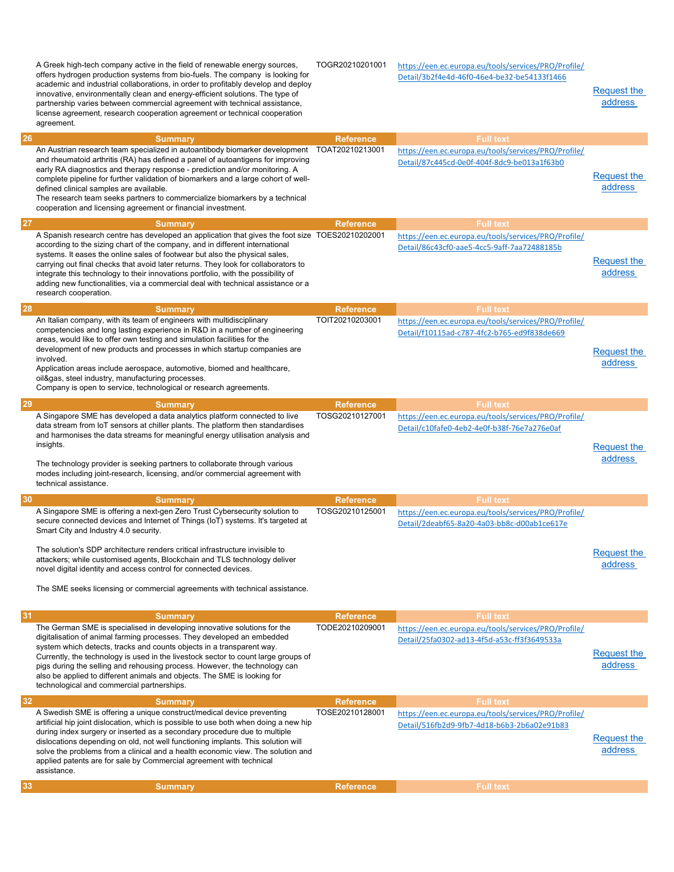|    | A Greek high-tech company active in the field of renewable energy sources,<br>offers hydrogen production systems from bio-fuels. The company is looking for<br>academic and industrial collaborations, in order to profitably develop and deploy<br>innovative, environmentally clean and energy-efficient solutions. The type of<br>partnership varies between commercial agreement with technical assistance,<br>license agreement, research cooperation agreement or technical cooperation<br>agreement.                                            | TOGR20210201001                     | https://een.ec.europa.eu/tools/services/PRO/Profile/<br>Detail/3b2f4e4d-46f0-46e4-be32-be54133f1466                     | Request the<br>address        |
|----|--------------------------------------------------------------------------------------------------------------------------------------------------------------------------------------------------------------------------------------------------------------------------------------------------------------------------------------------------------------------------------------------------------------------------------------------------------------------------------------------------------------------------------------------------------|-------------------------------------|-------------------------------------------------------------------------------------------------------------------------|-------------------------------|
| 26 | <b>Summary</b>                                                                                                                                                                                                                                                                                                                                                                                                                                                                                                                                         | <b>Reference</b>                    | <b>Full text</b>                                                                                                        |                               |
|    | An Austrian research team specialized in autoantibody biomarker development<br>and rheumatoid arthritis (RA) has defined a panel of autoantigens for improving<br>early RA diagnostics and therapy response - prediction and/or monitoring. A<br>complete pipeline for further validation of biomarkers and a large cohort of well-<br>defined clinical samples are available.<br>The research team seeks partners to commercialize biomarkers by a technical<br>cooperation and licensing agreement or financial investment.                          | TOAT20210213001                     | https://een.ec.europa.eu/tools/services/PRO/Profile/<br>Detail/87c445cd-0e0f-404f-8dc9-be013a1f63b0                     | Request the<br>address        |
| 27 | <b>Summary</b>                                                                                                                                                                                                                                                                                                                                                                                                                                                                                                                                         | <b>Reference</b>                    | <b>Full text</b>                                                                                                        |                               |
|    | A Spanish research centre has developed an application that gives the foot size TOES20210202001<br>according to the sizing chart of the company, and in different international<br>systems. It eases the online sales of footwear but also the physical sales,<br>carrying out final checks that avoid later returns. They look for collaborators to<br>integrate this technology to their innovations portfolio, with the possibility of<br>adding new functionalities, via a commercial deal with technical assistance or a<br>research cooperation. |                                     | https://een.ec.europa.eu/tools/services/PRO/Profile/<br>Detail/86c43cf0-aae5-4cc5-9aff-7aa72488185b                     | <b>Request the</b><br>address |
| 28 | <b>Summary</b>                                                                                                                                                                                                                                                                                                                                                                                                                                                                                                                                         | <b>Reference</b>                    | <b>Full text</b>                                                                                                        |                               |
|    | An Italian company, with its team of engineers with multidisciplinary<br>competencies and long lasting experience in R&D in a number of engineering<br>areas, would like to offer own testing and simulation facilities for the<br>development of new products and processes in which startup companies are<br>involved.<br>Application areas include aerospace, automotive, biomed and healthcare,<br>oil&gas, steel industry, manufacturing processes.<br>Company is open to service, technological or research agreements.                          | TOIT20210203001                     | https://een.ec.europa.eu/tools/services/PRO/Profile/<br>Detail/f10115ad-c787-4fc2-b765-ed9f838de669                     | <b>Request the</b><br>address |
| 29 | <b>Summary</b>                                                                                                                                                                                                                                                                                                                                                                                                                                                                                                                                         | <b>Reference</b>                    | <b>Full text</b>                                                                                                        |                               |
|    | A Singapore SME has developed a data analytics platform connected to live<br>data stream from IoT sensors at chiller plants. The platform then standardises                                                                                                                                                                                                                                                                                                                                                                                            | TOSG20210127001                     | https://een.ec.europa.eu/tools/services/PRO/Profile/                                                                    |                               |
|    | and harmonises the data streams for meaningful energy utilisation analysis and<br>insights.<br>The technology provider is seeking partners to collaborate through various<br>modes including joint-research, licensing, and/or commercial agreement with<br>technical assistance.                                                                                                                                                                                                                                                                      |                                     | Detail/c10fafe0-4eb2-4e0f-b38f-76e7a276e0af                                                                             | <b>Request the</b><br>address |
|    |                                                                                                                                                                                                                                                                                                                                                                                                                                                                                                                                                        |                                     |                                                                                                                         |                               |
| 30 | <b>Summary</b><br>A Singapore SME is offering a next-gen Zero Trust Cybersecurity solution to<br>secure connected devices and Internet of Things (IoT) systems. It's targeted at<br>Smart City and Industry 4.0 security.<br>The solution's SDP architecture renders critical infrastructure invisible to<br>attackers; while customised agents, Blockchain and TLS technology deliver<br>novel digital identity and access control for connected devices.<br>The SME seeks licensing or commercial agreements with technical assistance.              | <b>Reference</b><br>TOSG20210125001 | <b>Full text</b><br>https://een.ec.europa.eu/tools/services/PRO/Profile/<br>Detail/2deabf65-8a20-4a03-bb8c-d00ab1ce617e | Request the<br>address        |
| 31 | <b>Summary</b>                                                                                                                                                                                                                                                                                                                                                                                                                                                                                                                                         | <b>Reference</b>                    | <b>Full text</b>                                                                                                        |                               |
|    | The German SME is specialised in developing innovative solutions for the<br>digitalisation of animal farming processes. They developed an embedded<br>system which detects, tracks and counts objects in a transparent way.<br>Currently, the technology is used in the livestock sector to count large groups of<br>pigs during the selling and rehousing process. However, the technology can<br>also be applied to different animals and objects. The SME is looking for<br>technological and commercial partnerships.                              | TODE20210209001                     | https://een.ec.europa.eu/tools/services/PRO/Profile/<br>Detail/25fa0302-ad13-4f5d-a53c-ff3f3649533a                     | Request the<br>address        |
| 32 | <b>Summary</b>                                                                                                                                                                                                                                                                                                                                                                                                                                                                                                                                         | <b>Reference</b>                    | <b>Full text</b>                                                                                                        |                               |
|    | A Swedish SME is offering a unique construct/medical device preventing<br>artificial hip joint dislocation, which is possible to use both when doing a new hip<br>during index surgery or inserted as a secondary procedure due to multiple<br>dislocations depending on old, not well functioning implants. This solution will<br>solve the problems from a clinical and a health economic view. The solution and<br>applied patents are for sale by Commercial agreement with technical<br>assistance.                                               | TOSE20210128001                     | https://een.ec.europa.eu/tools/services/PRO/Profile/<br>Detail/516fb2d9-9fb7-4d18-b6b3-2b6a02e91b83                     | Request the<br>address        |
| 33 | <b>Summary</b>                                                                                                                                                                                                                                                                                                                                                                                                                                                                                                                                         | <b>Reference</b>                    | <b>Full text</b>                                                                                                        |                               |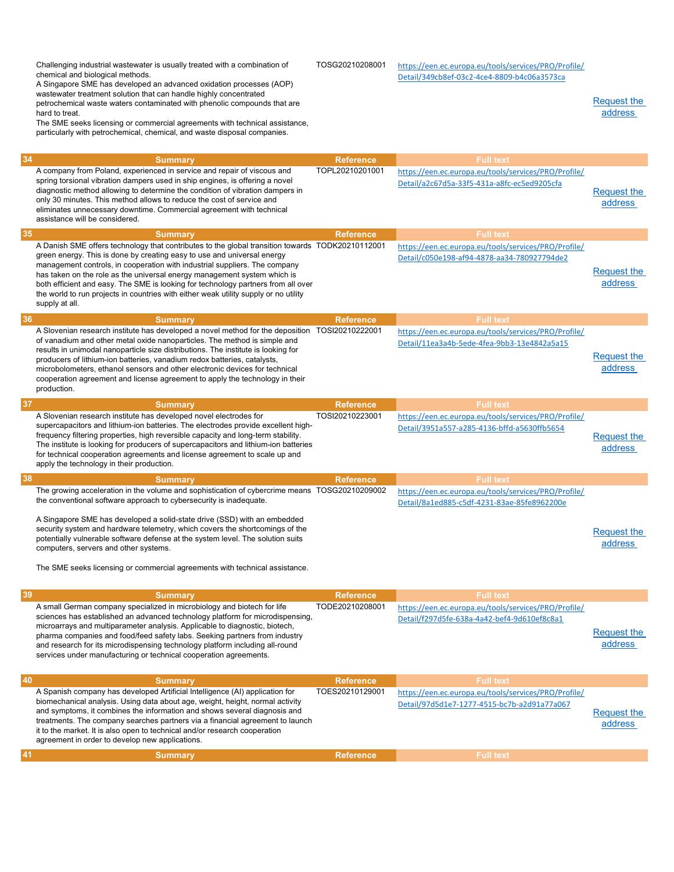|    | Challenging industrial wastewater is usually treated with a combination of<br>chemical and biological methods.<br>A Singapore SME has developed an advanced oxidation processes (AOP)<br>wastewater treatment solution that can handle highly concentrated<br>petrochemical waste waters contaminated with phenolic compounds that are<br>hard to treat.<br>The SME seeks licensing or commercial agreements with technical assistance,<br>particularly with petrochemical, chemical, and waste disposal companies.                        | TOSG20210208001  | https://een.ec.europa.eu/tools/services/PRO/Profile/<br>Detail/349cb8ef-03c2-4ce4-8809-b4c06a3573ca | Request the<br>address        |
|----|--------------------------------------------------------------------------------------------------------------------------------------------------------------------------------------------------------------------------------------------------------------------------------------------------------------------------------------------------------------------------------------------------------------------------------------------------------------------------------------------------------------------------------------------|------------------|-----------------------------------------------------------------------------------------------------|-------------------------------|
| 34 | <b>Summary</b>                                                                                                                                                                                                                                                                                                                                                                                                                                                                                                                             | <b>Reference</b> | <b>Full text</b>                                                                                    |                               |
|    | A company from Poland, experienced in service and repair of viscous and<br>spring torsional vibration dampers used in ship engines, is offering a novel<br>diagnostic method allowing to determine the condition of vibration dampers in<br>only 30 minutes. This method allows to reduce the cost of service and<br>eliminates unnecessary downtime. Commercial agreement with technical<br>assistance will be considered.                                                                                                                | TOPL20210201001  | https://een.ec.europa.eu/tools/services/PRO/Profile/<br>Detail/a2c67d5a-33f5-431a-a8fc-ec5ed9205cfa | Request the<br>address        |
| 35 | <b>Summary</b>                                                                                                                                                                                                                                                                                                                                                                                                                                                                                                                             | <b>Reference</b> | <b>Full text</b>                                                                                    |                               |
|    | A Danish SME offers technology that contributes to the global transition towards TODK20210112001<br>green energy. This is done by creating easy to use and universal energy<br>management controls, in cooperation with industrial suppliers. The company<br>has taken on the role as the universal energy management system which is<br>both efficient and easy. The SME is looking for technology partners from all over<br>the world to run projects in countries with either weak utility supply or no utility<br>supply at all.       |                  | https://een.ec.europa.eu/tools/services/PRO/Profile/<br>Detail/c050e198-af94-4878-aa34-780927794de2 | <b>Request the</b><br>address |
| 36 | <b>Summary</b>                                                                                                                                                                                                                                                                                                                                                                                                                                                                                                                             | <b>Reference</b> | <b>Full text</b>                                                                                    |                               |
|    | A Slovenian research institute has developed a novel method for the deposition TOSI20210222001<br>of vanadium and other metal oxide nanoparticles. The method is simple and<br>results in unimodal nanoparticle size distributions. The institute is looking for<br>producers of lithium-ion batteries, vanadium redox batteries, catalysts,<br>microbolometers, ethanol sensors and other electronic devices for technical<br>cooperation agreement and license agreement to apply the technology in their<br>production.                 |                  | https://een.ec.europa.eu/tools/services/PRO/Profile/<br>Detail/11ea3a4b-5ede-4fea-9bb3-13e4842a5a15 | <b>Request the</b><br>address |
| 37 | <b>Summary</b>                                                                                                                                                                                                                                                                                                                                                                                                                                                                                                                             | <b>Reference</b> | <b>Full text</b>                                                                                    |                               |
|    | A Slovenian research institute has developed novel electrodes for<br>supercapacitors and lithium-ion batteries. The electrodes provide excellent high-<br>frequency filtering properties, high reversible capacity and long-term stability.<br>The institute is looking for producers of supercapacitors and lithium-ion batteries<br>for technical cooperation agreements and license agreement to scale up and<br>apply the technology in their production.                                                                              | TOSI20210223001  | https://een.ec.europa.eu/tools/services/PRO/Profile/<br>Detail/3951a557-a285-4136-bffd-a5630ffb5654 | Request the<br>address        |
| 38 | <b>Summary</b>                                                                                                                                                                                                                                                                                                                                                                                                                                                                                                                             | <b>Reference</b> | <b>Full text</b>                                                                                    |                               |
|    | The growing acceleration in the volume and sophistication of cybercrime means TOSG20210209002<br>the conventional software approach to cybersecurity is inadequate.<br>A Singapore SME has developed a solid-state drive (SSD) with an embedded<br>security system and hardware telemetry, which covers the shortcomings of the<br>potentially vulnerable software defense at the system level. The solution suits<br>computers, servers and other systems.<br>The SME seeks licensing or commercial agreements with technical assistance. |                  | https://een.ec.europa.eu/tools/services/PRO/Profile/<br>Detail/8a1ed885-c5df-4231-83ae-85fe8962200e | Request the<br>address        |
| 39 | <b>Summary</b>                                                                                                                                                                                                                                                                                                                                                                                                                                                                                                                             | <b>Reference</b> | <b>Full text</b>                                                                                    |                               |
|    | A small German company specialized in microbiology and biotech for life<br>sciences has established an advanced technology platform for microdispensing,<br>microarrays and multiparameter analysis. Applicable to diagnostic, biotech,<br>pharma companies and food/feed safety labs. Seeking partners from industry<br>and research for its microdispensing technology platform including all-round<br>services under manufacturing or technical cooperation agreements.                                                                 | TODE20210208001  | https://een.ec.europa.eu/tools/services/PRO/Profile/<br>Detail/f297d5fe-638a-4a42-bef4-9d610ef8c8a1 | Request the<br>address        |
| 40 | <b>Summary</b>                                                                                                                                                                                                                                                                                                                                                                                                                                                                                                                             | <b>Reference</b> | <b>Full text</b>                                                                                    |                               |
|    | A Spanish company has developed Artificial Intelligence (AI) application for<br>biomechanical analysis. Using data about age, weight, height, normal activity<br>and symptoms, it combines the information and shows several diagnosis and<br>treatments. The company searches partners via a financial agreement to launch<br>it to the market. It is also open to technical and/or research cooperation<br>agreement in order to develop new applications.                                                                               | TOES20210129001  | https://een.ec.europa.eu/tools/services/PRO/Profile/<br>Detail/97d5d1e7-1277-4515-bc7b-a2d91a77a067 | Request the<br>address        |
| 41 | <b>Summary</b>                                                                                                                                                                                                                                                                                                                                                                                                                                                                                                                             | <b>Reference</b> | <b>Full text</b>                                                                                    |                               |
|    |                                                                                                                                                                                                                                                                                                                                                                                                                                                                                                                                            |                  |                                                                                                     |                               |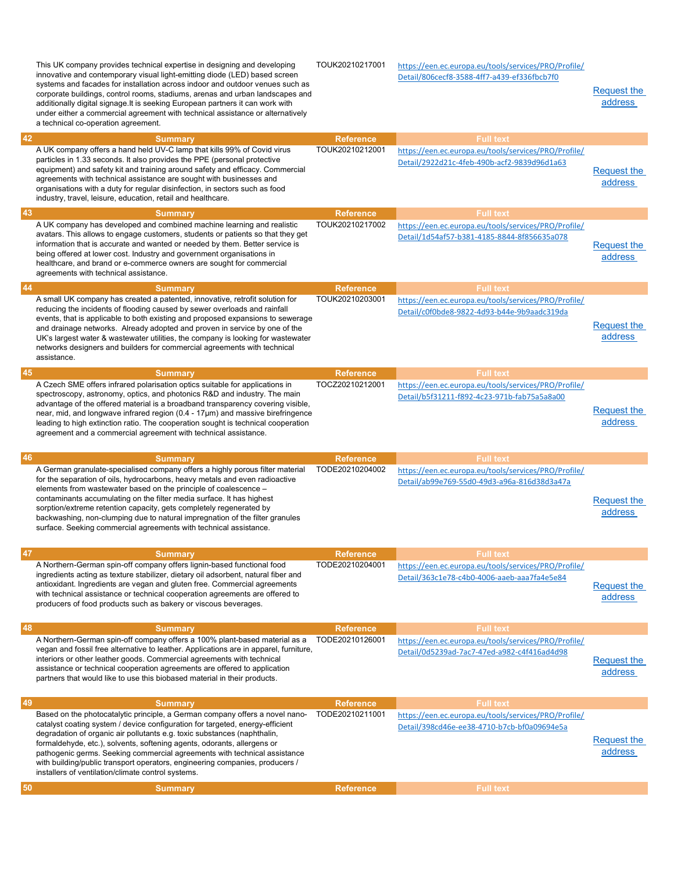|    | This UK company provides technical expertise in designing and developing<br>innovative and contemporary visual light-emitting diode (LED) based screen<br>systems and facades for installation across indoor and outdoor venues such as<br>corporate buildings, control rooms, stadiums, arenas and urban landscapes and<br>additionally digital signage. It is seeking European partners it can work with<br>under either a commercial agreement with technical assistance or alternatively<br>a technical co-operation agreement.     | TOUK20210217001  | https://een.ec.europa.eu/tools/services/PRO/Profile/<br>Detail/806cecf8-3588-4ff7-a439-ef336fbcb7f0 | <b>Request the</b><br>address |
|----|-----------------------------------------------------------------------------------------------------------------------------------------------------------------------------------------------------------------------------------------------------------------------------------------------------------------------------------------------------------------------------------------------------------------------------------------------------------------------------------------------------------------------------------------|------------------|-----------------------------------------------------------------------------------------------------|-------------------------------|
| 42 | <b>Summary</b>                                                                                                                                                                                                                                                                                                                                                                                                                                                                                                                          | <b>Reference</b> | <b>Full text</b>                                                                                    |                               |
|    | A UK company offers a hand held UV-C lamp that kills 99% of Covid virus<br>particles in 1.33 seconds. It also provides the PPE (personal protective<br>equipment) and safety kit and training around safety and efficacy. Commercial<br>agreements with technical assistance are sought with businesses and<br>organisations with a duty for regular disinfection, in sectors such as food<br>industry, travel, leisure, education, retail and healthcare.                                                                              | TOUK20210212001  | https://een.ec.europa.eu/tools/services/PRO/Profile/<br>Detail/2922d21c-4feb-490b-acf2-9839d96d1a63 | <b>Request the</b><br>address |
| 43 | <b>Summary</b>                                                                                                                                                                                                                                                                                                                                                                                                                                                                                                                          | <b>Reference</b> | <b>Full text</b>                                                                                    |                               |
|    | A UK company has developed and combined machine learning and realistic<br>avatars. This allows to engage customers, students or patients so that they get<br>information that is accurate and wanted or needed by them. Better service is<br>being offered at lower cost. Industry and government organisations in<br>healthcare, and brand or e-commerce owners are sought for commercial<br>agreements with technical assistance.                                                                                                     | TOUK20210217002  | https://een.ec.europa.eu/tools/services/PRO/Profile/<br>Detail/1d54af57-b381-4185-8844-8f856635a078 | <b>Request the</b><br>address |
| 44 | <b>Summary</b>                                                                                                                                                                                                                                                                                                                                                                                                                                                                                                                          | <b>Reference</b> | <b>Full text</b>                                                                                    |                               |
|    | A small UK company has created a patented, innovative, retrofit solution for<br>reducing the incidents of flooding caused by sewer overloads and rainfall<br>events, that is applicable to both existing and proposed expansions to sewerage<br>and drainage networks. Already adopted and proven in service by one of the<br>UK's largest water & wastewater utilities, the company is looking for wastewater<br>networks designers and builders for commercial agreements with technical<br>assistance.                               | TOUK20210203001  | https://een.ec.europa.eu/tools/services/PRO/Profile/<br>Detail/c0f0bde8-9822-4d93-b44e-9b9aadc319da | <b>Request the</b><br>address |
| 45 | <b>Summary</b>                                                                                                                                                                                                                                                                                                                                                                                                                                                                                                                          | <b>Reference</b> | <b>Full text</b>                                                                                    |                               |
|    | A Czech SME offers infrared polarisation optics suitable for applications in<br>spectroscopy, astronomy, optics, and photonics R&D and industry. The main<br>advantage of the offered material is a broadband transparency covering visible,<br>near, mid, and longwave infrared region $(0.4 - 17 \mu m)$ and massive birefringence<br>leading to high extinction ratio. The cooperation sought is technical cooperation<br>agreement and a commercial agreement with technical assistance.                                            | TOCZ20210212001  | https://een.ec.europa.eu/tools/services/PRO/Profile/<br>Detail/b5f31211-f892-4c23-971b-fab75a5a8a00 | Request the<br>address        |
| 46 |                                                                                                                                                                                                                                                                                                                                                                                                                                                                                                                                         |                  |                                                                                                     |                               |
|    | <b>Summary</b>                                                                                                                                                                                                                                                                                                                                                                                                                                                                                                                          | <b>Reference</b> | <b>Full text</b>                                                                                    |                               |
|    | A German granulate-specialised company offers a highly porous filter material<br>for the separation of oils, hydrocarbons, heavy metals and even radioactive<br>elements from wastewater based on the principle of coalescence -<br>contaminants accumulating on the filter media surface. It has highest<br>sorption/extreme retention capacity, gets completely regenerated by<br>backwashing, non-clumping due to natural impregnation of the filter granules<br>surface. Seeking commercial agreements with technical assistance.   | TODE20210204002  | https://een.ec.europa.eu/tools/services/PRO/Profile/<br>Detail/ab99e769-55d0-49d3-a96a-816d38d3a47a | <b>Request the</b><br>address |
| 47 | <b>Summary</b>                                                                                                                                                                                                                                                                                                                                                                                                                                                                                                                          | <b>Reference</b> | <b>Full text</b>                                                                                    |                               |
|    | A Northern-German spin-off company offers lignin-based functional food<br>ingredients acting as texture stabilizer, dietary oil adsorbent, natural fiber and<br>antioxidant. Ingredients are vegan and gluten free. Commercial agreements<br>with technical assistance or technical cooperation agreements are offered to<br>producers of food products such as bakery or viscous beverages.                                                                                                                                            | TODE20210204001  | https://een.ec.europa.eu/tools/services/PRO/Profile/<br>Detail/363c1e78-c4b0-4006-aaeb-aaa7fa4e5e84 | <b>Request the</b><br>address |
|    | <b>Summary</b>                                                                                                                                                                                                                                                                                                                                                                                                                                                                                                                          | <b>Reference</b> | <b>Full text</b>                                                                                    |                               |
| 48 | A Northern-German spin-off company offers a 100% plant-based material as a<br>vegan and fossil free alternative to leather. Applications are in apparel, furniture,<br>interiors or other leather goods. Commercial agreements with technical<br>assistance or technical cooperation agreements are offered to application<br>partners that would like to use this biobased material in their products.                                                                                                                                 | TODE20210126001  | https://een.ec.europa.eu/tools/services/PRO/Profile/<br>Detail/0d5239ad-7ac7-47ed-a982-c4f416ad4d98 | <b>Request the</b><br>address |
|    | <b>Summary</b>                                                                                                                                                                                                                                                                                                                                                                                                                                                                                                                          | <b>Reference</b> | <b>Full text</b>                                                                                    |                               |
| 49 | Based on the photocatalytic principle, a German company offers a novel nano-<br>catalyst coating system / device configuration for targeted, energy-efficient<br>degradation of organic air pollutants e.g. toxic substances (naphthalin,<br>formaldehyde, etc.), solvents, softening agents, odorants, allergens or<br>pathogenic germs. Seeking commercial agreements with technical assistance<br>with building/public transport operators, engineering companies, producers /<br>installers of ventilation/climate control systems. | TODE20210211001  | https://een.ec.europa.eu/tools/services/PRO/Profile/<br>Detail/398cd46e-ee38-4710-b7cb-bf0a09694e5a | Request the<br>address        |
| 50 | <b>Summary</b>                                                                                                                                                                                                                                                                                                                                                                                                                                                                                                                          | <b>Reference</b> | <b>Full text</b>                                                                                    |                               |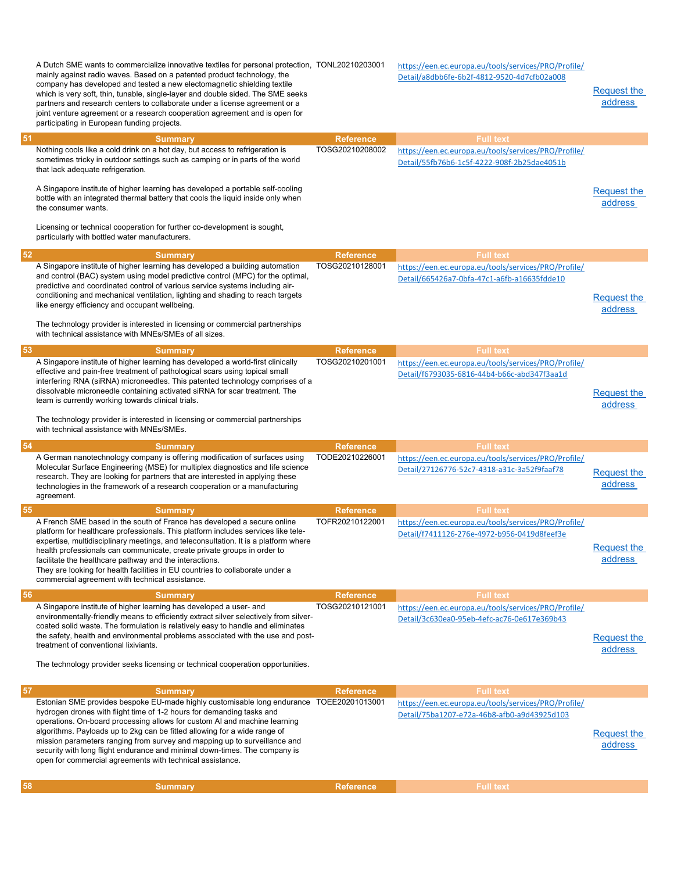|    | A Dutch SME wants to commercialize innovative textiles for personal protection, TONL20210203001<br>mainly against radio waves. Based on a patented product technology, the<br>company has developed and tested a new electomagnetic shielding textile<br>which is very soft, thin, tunable, single-layer and double sided. The SME seeks<br>partners and research centers to collaborate under a license agreement or a<br>joint venture agreement or a research cooperation agreement and is open for<br>participating in European funding projects. |                                     | https://een.ec.europa.eu/tools/services/PRO/Profile/<br>Detail/a8dbb6fe-6b2f-4812-9520-4d7cfb02a008                     | Request the<br>address        |
|----|-------------------------------------------------------------------------------------------------------------------------------------------------------------------------------------------------------------------------------------------------------------------------------------------------------------------------------------------------------------------------------------------------------------------------------------------------------------------------------------------------------------------------------------------------------|-------------------------------------|-------------------------------------------------------------------------------------------------------------------------|-------------------------------|
| 51 | <b>Summary</b><br>Nothing cools like a cold drink on a hot day, but access to refrigeration is<br>sometimes tricky in outdoor settings such as camping or in parts of the world<br>that lack adequate refrigeration.<br>A Singapore institute of higher learning has developed a portable self-cooling<br>bottle with an integrated thermal battery that cools the liquid inside only when<br>the consumer wants.<br>Licensing or technical cooperation for further co-development is sought,<br>particularly with bottled water manufacturers.       | <b>Reference</b><br>TOSG20210208002 | <b>Full text</b><br>https://een.ec.europa.eu/tools/services/PRO/Profile/<br>Detail/55fb76b6-1c5f-4222-908f-2b25dae4051b | Request the<br>address        |
| 52 | <b>Summary</b>                                                                                                                                                                                                                                                                                                                                                                                                                                                                                                                                        | <b>Reference</b>                    | <b>Full text</b>                                                                                                        |                               |
|    | A Singapore institute of higher learning has developed a building automation<br>and control (BAC) system using model predictive control (MPC) for the optimal,<br>predictive and coordinated control of various service systems including air-<br>conditioning and mechanical ventilation, lighting and shading to reach targets<br>like energy efficiency and occupant wellbeing.<br>The technology provider is interested in licensing or commercial partnerships<br>with technical assistance with MNEs/SMEs of all sizes.                         | TOSG20210128001                     | https://een.ec.europa.eu/tools/services/PRO/Profile/<br>Detail/665426a7-0bfa-47c1-a6fb-a16635fdde10                     | <b>Request the</b><br>address |
| 53 | <b>Summary</b>                                                                                                                                                                                                                                                                                                                                                                                                                                                                                                                                        | <b>Reference</b>                    | <b>Full text</b>                                                                                                        |                               |
|    | A Singapore institute of higher learning has developed a world-first clinically<br>effective and pain-free treatment of pathological scars using topical small<br>interfering RNA (siRNA) microneedles. This patented technology comprises of a<br>dissolvable microneedle containing activated siRNA for scar treatment. The<br>team is currently working towards clinical trials.<br>The technology provider is interested in licensing or commercial partnerships<br>with technical assistance with MNEs/SMEs.                                     | TOSG20210201001                     | https://een.ec.europa.eu/tools/services/PRO/Profile/<br>Detail/f6793035-6816-44b4-b66c-abd347f3aa1d                     | Request the<br>address        |
|    |                                                                                                                                                                                                                                                                                                                                                                                                                                                                                                                                                       |                                     |                                                                                                                         |                               |
| 54 | <b>Summary</b>                                                                                                                                                                                                                                                                                                                                                                                                                                                                                                                                        | <b>Reference</b>                    | <b>Full text</b>                                                                                                        |                               |
|    | A German nanotechnology company is offering modification of surfaces using<br>Molecular Surface Engineering (MSE) for multiplex diagnostics and life science<br>research. They are looking for partners that are interested in applying these<br>technologies in the framework of a research cooperation or a manufacturing<br>agreement.                                                                                                                                                                                                             | TODE20210226001                     | https://een.ec.europa.eu/tools/services/PRO/Profile/<br>Detail/27126776-52c7-4318-a31c-3a52f9faaf78                     | Request the<br>address        |
| 55 | <b>Summary</b>                                                                                                                                                                                                                                                                                                                                                                                                                                                                                                                                        | <b>Reference</b>                    | <b>Full text</b>                                                                                                        |                               |
|    | A French SME based in the south of France has developed a secure online<br>platform for healthcare professionals. This platform includes services like tele-<br>expertise, multidisciplinary meetings, and teleconsultation. It is a platform where<br>health professionals can communicate, create private groups in order to<br>facilitate the healthcare pathway and the interactions.<br>They are looking for health facilities in EU countries to collaborate under a<br>commercial agreement with technical assistance.                         | TOFR20210122001                     | https://een.ec.europa.eu/tools/services/PRO/Profile/<br>Detail/f7411126-276e-4972-b956-0419d8feef3e                     | <b>Request the</b><br>address |
| 56 | <b>Summary</b>                                                                                                                                                                                                                                                                                                                                                                                                                                                                                                                                        | <b>Reference</b>                    | <b>Full text</b>                                                                                                        |                               |
|    | A Singapore institute of higher learning has developed a user- and<br>environmentally-friendly means to efficiently extract silver selectively from silver-<br>coated solid waste. The formulation is relatively easy to handle and eliminates<br>the safety, health and environmental problems associated with the use and post-<br>treatment of conventional lixiviants.<br>The technology provider seeks licensing or technical cooperation opportunities.                                                                                         | TOSG20210121001                     | https://een.ec.europa.eu/tools/services/PRO/Profile/<br>Detail/3c630ea0-95eb-4efc-ac76-0e617e369b43                     | Request the<br>address        |
| 57 | <b>Summary</b>                                                                                                                                                                                                                                                                                                                                                                                                                                                                                                                                        | <b>Reference</b>                    | <b>Full text</b>                                                                                                        |                               |
|    | Estonian SME provides bespoke EU-made highly customisable long endurance TOEE20201013001<br>hydrogen drones with flight time of 1-2 hours for demanding tasks and<br>operations. On-board processing allows for custom AI and machine learning<br>algorithms. Payloads up to 2kg can be fitted allowing for a wide range of<br>mission parameters ranging from survey and mapping up to surveillance and<br>security with long flight endurance and minimal down-times. The company is<br>open for commercial agreements with technical assistance.   |                                     | https://een.ec.europa.eu/tools/services/PRO/Profile/<br>Detail/75ba1207-e72a-46b8-afb0-a9d43925d103                     | Request the<br>address        |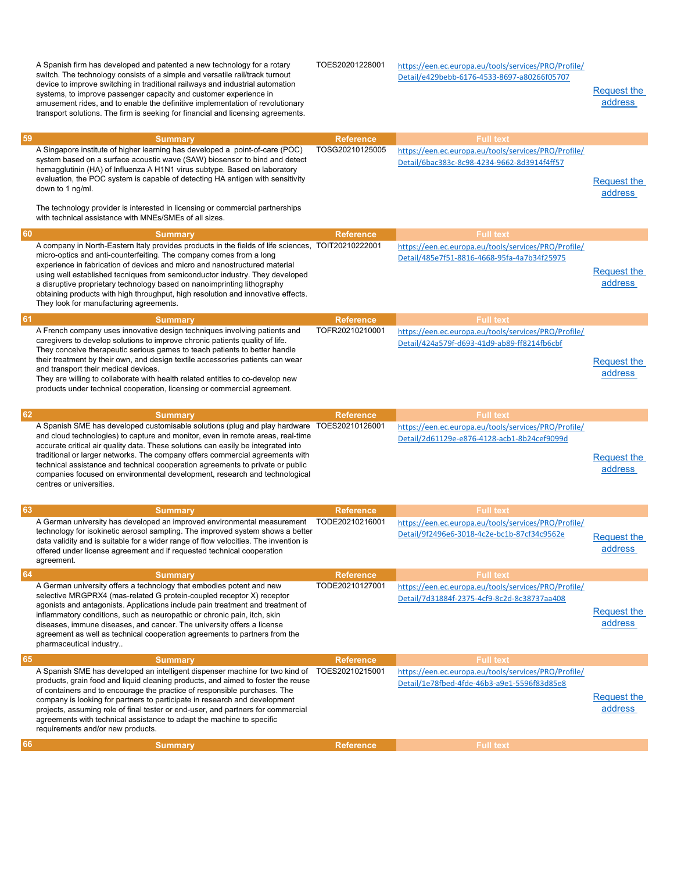|    | A Spanish firm has developed and patented a new technology for a rotary<br>switch. The technology consists of a simple and versatile rail/track turnout<br>device to improve switching in traditional railways and industrial automation<br>systems, to improve passenger capacity and customer experience in<br>amusement rides, and to enable the definitive implementation of revolutionary<br>transport solutions. The firm is seeking for financial and licensing agreements.                                                                | TOES20201228001  | https://een.ec.europa.eu/tools/services/PRO/Profile/<br>Detail/e429bebb-6176-4533-8697-a80266f05707 | <b>Request the</b><br>address |
|----|---------------------------------------------------------------------------------------------------------------------------------------------------------------------------------------------------------------------------------------------------------------------------------------------------------------------------------------------------------------------------------------------------------------------------------------------------------------------------------------------------------------------------------------------------|------------------|-----------------------------------------------------------------------------------------------------|-------------------------------|
| 59 | <b>Summary</b>                                                                                                                                                                                                                                                                                                                                                                                                                                                                                                                                    | <b>Reference</b> | <b>Full text</b>                                                                                    |                               |
|    | A Singapore institute of higher learning has developed a point-of-care (POC)<br>system based on a surface acoustic wave (SAW) biosensor to bind and detect<br>hemagglutinin (HA) of Influenza A H1N1 virus subtype. Based on laboratory<br>evaluation, the POC system is capable of detecting HA antigen with sensitivity<br>down to 1 ng/ml.<br>The technology provider is interested in licensing or commercial partnerships<br>with technical assistance with MNEs/SMEs of all sizes.                                                          | TOSG20210125005  | https://een.ec.europa.eu/tools/services/PRO/Profile/<br>Detail/6bac383c-8c98-4234-9662-8d3914f4ff57 | <b>Request the</b><br>address |
| 60 | <b>Summary</b>                                                                                                                                                                                                                                                                                                                                                                                                                                                                                                                                    | <b>Reference</b> | <b>Full text</b>                                                                                    |                               |
|    | A company in North-Eastern Italy provides products in the fields of life sciences, TOIT20210222001<br>micro-optics and anti-counterfeiting. The company comes from a long<br>experience in fabrication of devices and micro and nanostructured material<br>using well established tecniques from semiconductor industry. They developed<br>a disruptive proprietary technology based on nanoimprinting lithography<br>obtaining products with high throughput, high resolution and innovative effects.<br>They look for manufacturing agreements. |                  | https://een.ec.europa.eu/tools/services/PRO/Profile/<br>Detail/485e7f51-8816-4668-95fa-4a7b34f25975 | <b>Request the</b><br>address |
| 61 | <b>Summary</b>                                                                                                                                                                                                                                                                                                                                                                                                                                                                                                                                    | <b>Reference</b> | <b>Full text</b>                                                                                    |                               |
|    | A French company uses innovative design techniques involving patients and<br>caregivers to develop solutions to improve chronic patients quality of life.<br>They conceive therapeutic serious games to teach patients to better handle<br>their treatment by their own, and design textile accessories patients can wear<br>and transport their medical devices.<br>They are willing to collaborate with health related entities to co-develop new<br>products under technical cooperation, licensing or commercial agreement.                   | TOFR20210210001  | https://een.ec.europa.eu/tools/services/PRO/Profile/<br>Detail/424a579f-d693-41d9-ab89-ff8214fb6cbf | <b>Request the</b><br>address |
|    |                                                                                                                                                                                                                                                                                                                                                                                                                                                                                                                                                   |                  |                                                                                                     |                               |
| 62 | <b>Summary</b>                                                                                                                                                                                                                                                                                                                                                                                                                                                                                                                                    | Reference        | <b>Full text</b>                                                                                    |                               |
|    | A Spanish SME has developed customisable solutions (plug and play hardware TOES20210126001<br>and cloud technologies) to capture and monitor, even in remote areas, real-time<br>accurate critical air quality data. These solutions can easily be integrated into<br>traditional or larger networks. The company offers commercial agreements with<br>technical assistance and technical cooperation agreements to private or public<br>companies focused on environmental development, research and technological<br>centres or universities.   |                  | https://een.ec.europa.eu/tools/services/PRO/Profile/<br>Detail/2d61129e-e876-4128-acb1-8b24cef9099d | <b>Request the</b><br>address |
| 63 | <b>Summary</b>                                                                                                                                                                                                                                                                                                                                                                                                                                                                                                                                    | <b>Reference</b> | <b>Full text</b>                                                                                    |                               |
|    | A German university has developed an improved environmental measurement<br>technology for isokinetic aerosol sampling. The improved system shows a better<br>data validity and is suitable for a wider range of flow velocities. The invention is<br>offered under license agreement and if requested technical cooperation<br>agreement.                                                                                                                                                                                                         | TODE20210216001  | https://een.ec.europa.eu/tools/services/PRO/Profile/<br>Detail/9f2496e6-3018-4c2e-bc1b-87cf34c9562e | <b>Request the</b><br>address |
| 64 | <b>Summary</b>                                                                                                                                                                                                                                                                                                                                                                                                                                                                                                                                    | <b>Reference</b> | <b>Full text</b>                                                                                    |                               |
|    | A German university offers a technology that embodies potent and new<br>selective MRGPRX4 (mas-related G protein-coupled receptor X) receptor<br>agonists and antagonists. Applications include pain treatment and treatment of<br>inflammatory conditions, such as neuropathic or chronic pain, itch, skin<br>diseases, immune diseases, and cancer. The university offers a license<br>agreement as well as technical cooperation agreements to partners from the<br>pharmaceutical industry                                                    | TODE20210127001  | https://een.ec.europa.eu/tools/services/PRO/Profile/<br>Detail/7d31884f-2375-4cf9-8c2d-8c38737aa408 | <b>Request the</b><br>address |
| 65 | <b>Summary</b>                                                                                                                                                                                                                                                                                                                                                                                                                                                                                                                                    | <b>Reference</b> | <b>Full text</b>                                                                                    |                               |
|    | A Spanish SME has developed an intelligent dispenser machine for two kind of TOES20210215001<br>products, grain food and liquid cleaning products, and aimed to foster the reuse<br>of containers and to encourage the practice of responsible purchases. The<br>company is looking for partners to participate in research and development<br>projects, assuming role of final tester or end-user, and partners for commercial<br>agreements with technical assistance to adapt the machine to specific<br>requirements and/or new products.     |                  | https://een.ec.europa.eu/tools/services/PRO/Profile/<br>Detail/1e78fbed-4fde-46b3-a9e1-5596f83d85e8 | Request the<br>address        |